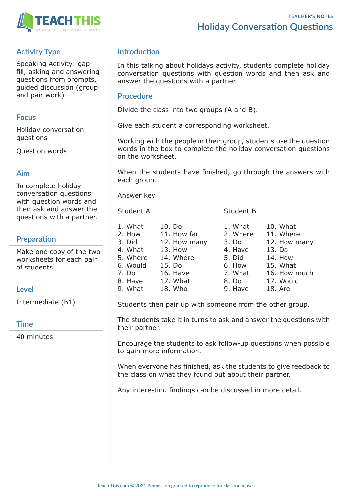

# **Activity Type**

Speaking Activity: gapfill, asking and answering questions from prompts, guided discussion (group and pair work)

### **Focus**

Holiday conversation questions

Question words

#### **Aim**

To complete holiday conversation questions with question words and then ask and answer the questions with a partner.

## **Preparation**

Make one copy of the two worksheets for each pair of students.

## **Level**

Intermediate (B1)

#### **Time**

40 minutes

# **Introduction**

In this talking about holidays activity, students complete holiday conversation questions with question words and then ask and answer the questions with a partner.

#### **Procedure**

Divide the class into two groups (A and B).

Give each student a corresponding worksheet.

Working with the people in their group, students use the question words in the box to complete the holiday conversation questions on the worksheet.

When the students have finished, go through the answers with each group.

Answer key

Student A Student B

| 1. What  | 10. Do       | 1. What  | 10. What     |
|----------|--------------|----------|--------------|
| 2. How   | 11. How far  | 2. Where | 11. Where    |
| 3. Did   | 12. How many | 3. Do    | 12. How many |
| 4. What  | 13. How      | 4. Have  | 13. Do       |
| 5. Where | 14. Where    | 5. Did   | 14. How      |
| 6. Would | 15. Do       | 6. How   | 15. What     |
| 7. Do    | 16. Have     | 7. What  | 16. How much |
| 8. Have  | 17. What     | 8. Do    | 17. Would    |
| 9. What  | 18. Who      | 9. Have  | 18. Are      |

Students then pair up with someone from the other group.

The students take it in turns to ask and answer the questions with their partner.

Encourage the students to ask follow-up questions when possible to gain more information.

When everyone has finished, ask the students to give feedback to the class on what they found out about their partner.

Any interesting findings can be discussed in more detail.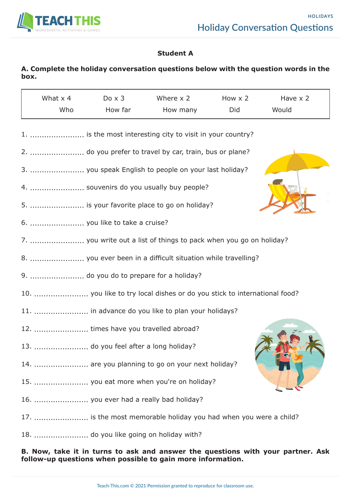

## **Student A**

## **A. Complete the holiday conversation questions below with the question words in the box.**

| What $\times$ 4 | $Do \times 3$ | Where $\times$ 2 | How $\times$ 2 | Have x 2 |  |
|-----------------|---------------|------------------|----------------|----------|--|
| Who             | How far       | How many         | Did            | Would    |  |

| 1.  is the most interesting city to visit in your country?               |
|--------------------------------------------------------------------------|
| 2.  do you prefer to travel by car, train, bus or plane?                 |
| 3.  you speak English to people on your last holiday?                    |
| 4.  souvenirs do you usually buy people?                                 |
| 5.  is your favorite place to go on holiday?                             |
| 6.  you like to take a cruise?                                           |
| 7.  you write out a list of things to pack when you go on holiday?       |
| 8.  you ever been in a difficult situation while travelling?             |
| 9.  do you do to prepare for a holiday?                                  |
| 10.  you like to try local dishes or do you stick to international food? |
| 11.  in advance do you like to plan your holidays?                       |
| 12.  times have you travelled abroad?                                    |
|                                                                          |
|                                                                          |
| 14.  are you planning to go on your next holiday?                        |
| 15.  you eat more when you're on holiday?                                |
| 16.  you ever had a really bad holiday?                                  |
| 17.  is the most memorable holiday you had when you were a child?        |

**B. Now, take it in turns to ask and answer the questions with your partner. Ask follow-up questions when possible to gain more information.**